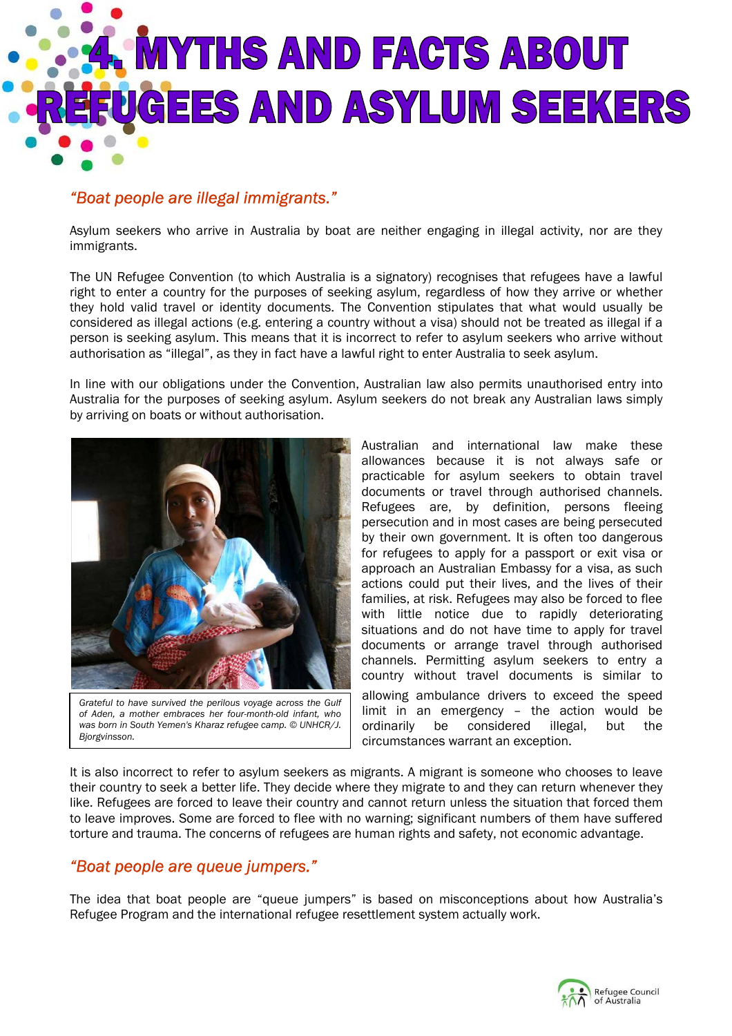

## *"Boat people are illegal immigrants."*

Asylum seekers who arrive in Australia by boat are neither engaging in illegal activity, nor are they immigrants.

The UN Refugee Convention (to which Australia is a signatory) recognises that refugees have a lawful right to enter a country for the purposes of seeking asylum, regardless of how they arrive or whether they hold valid travel or identity documents. The Convention stipulates that what would usually be considered as illegal actions (e.g. entering a country without a visa) should not be treated as illegal if a person is seeking asylum. This means that it is incorrect to refer to asylum seekers who arrive without authorisation as "illegal", as they in fact have a lawful right to enter Australia to seek asylum.

In line with our obligations under the Convention, Australian law also permits unauthorised entry into Australia for the purposes of seeking asylum. Asylum seekers do not break any Australian laws simply by arriving on boats or without authorisation.



*Grateful to have survived the perilous voyage across the Gulf of Aden, a mother embraces her four-month-old infant, who was born in South Yemen's Kharaz refugee camp. © UNHCR/J. Bjorgvinsson.* 

Australian and international law make these allowances because it is not always safe or practicable for asylum seekers to obtain travel documents or travel through authorised channels. Refugees are, by definition, persons fleeing persecution and in most cases are being persecuted by their own government. It is often too dangerous for refugees to apply for a passport or exit visa or approach an Australian Embassy for a visa, as such actions could put their lives, and the lives of their families, at risk. Refugees may also be forced to flee with little notice due to rapidly deteriorating situations and do not have time to apply for travel documents or arrange travel through authorised channels. Permitting asylum seekers to entry a country without travel documents is similar to allowing ambulance drivers to exceed the speed limit in an emergency – the action would be ordinarily be considered illegal, but the circumstances warrant an exception.

It is also incorrect to refer to asylum seekers as migrants. A migrant is someone who chooses to leave their country to seek a better life. They decide where they migrate to and they can return whenever they like. Refugees are forced to leave their country and cannot return unless the situation that forced them to leave improves. Some are forced to flee with no warning; significant numbers of them have suffered torture and trauma. The concerns of refugees are human rights and safety, not economic advantage.

## *"Boat people are queue jumpers."*

The idea that boat people are "queue jumpers" is based on misconceptions about how Australia's Refugee Program and the international refugee resettlement system actually work.

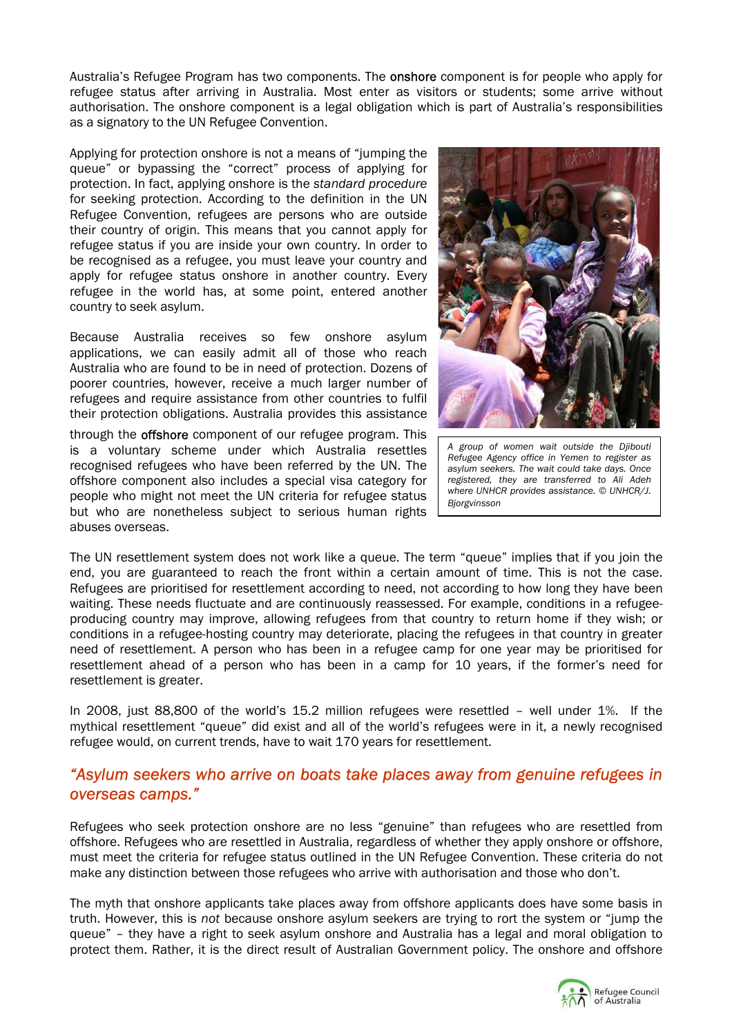Australia's Refugee Program has two components. The **onshore** component is for people who apply for refugee status after arriving in Australia. Most enter as visitors or students; some arrive without authorisation. The onshore component is a legal obligation which is part of Australia's responsibilities as a signatory to the UN Refugee Convention.

Applying for protection onshore is not a means of "jumping the queue" or bypassing the "correct" process of applying for protection. In fact, applying onshore is the *standard procedure* for seeking protection. According to the definition in the UN Refugee Convention, refugees are persons who are outside their country of origin. This means that you cannot apply for refugee status if you are inside your own country. In order to be recognised as a refugee, you must leave your country and apply for refugee status onshore in another country. Every refugee in the world has, at some point, entered another country to seek asylum.

Because Australia receives so few onshore asylum applications, we can easily admit all of those who reach Australia who are found to be in need of protection. Dozens of poorer countries, however, receive a much larger number of refugees and require assistance from other countries to fulfil their protection obligations. Australia provides this assistance

through the **offshore** component of our refugee program. This is a voluntary scheme under which Australia resettles recognised refugees who have been referred by the UN. The offshore component also includes a special visa category for people who might not meet the UN criteria for refugee status but who are nonetheless subject to serious human rights abuses overseas.



*A group of women wait outside the Djibouti Refugee Agency office in Yemen to register as asylum seekers. The wait could take days. Once registered, they are transferred to Ali Adeh where UNHCR provides assistance. © UNHCR/J. Bjorgvinsson* 

The UN resettlement system does not work like a queue. The term "queue" implies that if you join the end, you are guaranteed to reach the front within a certain amount of time. This is not the case. Refugees are prioritised for resettlement according to need, not according to how long they have been waiting. These needs fluctuate and are continuously reassessed. For example, conditions in a refugeeproducing country may improve, allowing refugees from that country to return home if they wish; or conditions in a refugee-hosting country may deteriorate, placing the refugees in that country in greater need of resettlement. A person who has been in a refugee camp for one year may be prioritised for resettlement ahead of a person who has been in a camp for 10 years, if the former's need for resettlement is greater.

In 2008, just 88,800 of the world's 15.2 million refugees were resettled – well under 1%. If the mythical resettlement "queue" did exist and all of the world's refugees were in it, a newly recognised refugee would, on current trends, have to wait 170 years for resettlement.

## *"Asylum seekers who arrive on boats take places away from genuine refugees in overseas camps."*

Refugees who seek protection onshore are no less "genuine" than refugees who are resettled from offshore. Refugees who are resettled in Australia, regardless of whether they apply onshore or offshore, must meet the criteria for refugee status outlined in the UN Refugee Convention. These criteria do not make any distinction between those refugees who arrive with authorisation and those who don't.

The myth that onshore applicants take places away from offshore applicants does have some basis in truth. However, this is *not* because onshore asylum seekers are trying to rort the system or "jump the queue" – they have a right to seek asylum onshore and Australia has a legal and moral obligation to protect them. Rather, it is the direct result of Australian Government policy. The onshore and offshore

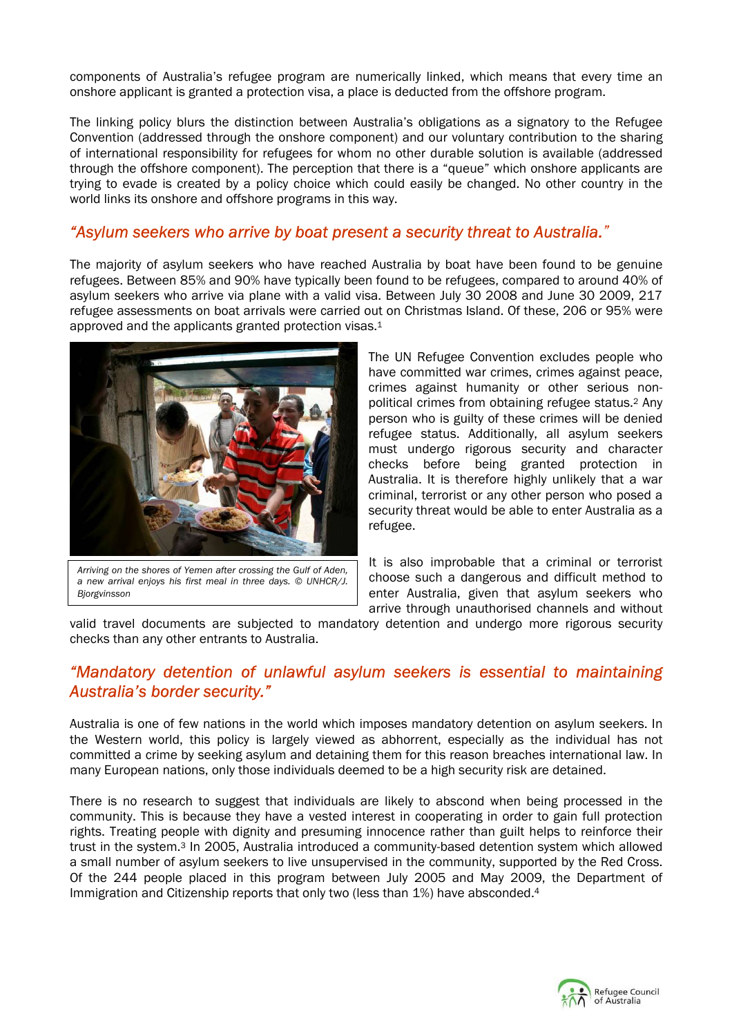components of Australia's refugee program are numerically linked, which means that every time an onshore applicant is granted a protection visa, a place is deducted from the offshore program.

The linking policy blurs the distinction between Australia's obligations as a signatory to the Refugee Convention (addressed through the onshore component) and our voluntary contribution to the sharing of international responsibility for refugees for whom no other durable solution is available (addressed through the offshore component). The perception that there is a "queue" which onshore applicants are trying to evade is created by a policy choice which could easily be changed. No other country in the world links its onshore and offshore programs in this way.

## *"Asylum seekers who arrive by boat present a security threat to Australia."*

The majority of asylum seekers who have reached Australia by boat have been found to be genuine refugees. Between 85% and 90% have typically been found to be refugees, compared to around 40% of asylum seekers who arrive via plane with a valid visa. Between July 30 2008 and June 30 2009, 217 refugee assessments on boat arrivals were carried out on Christmas Island. Of these, 206 or 95% were approved and the applicants granted protection visas.<sup>1</sup>



*Arriving on the shores of Yemen after crossing the Gulf of Aden, a new arrival enjoys his first meal in three days. © UNHCR/J. Bjorgvinsson* 

The UN Refugee Convention excludes people who have committed war crimes, crimes against peace, crimes against humanity or other serious nonpolitical crimes from obtaining refugee status.2 Any person who is guilty of these crimes will be denied refugee status. Additionally, all asylum seekers must undergo rigorous security and character checks before being granted protection in Australia. It is therefore highly unlikely that a war criminal, terrorist or any other person who posed a security threat would be able to enter Australia as a refugee.

It is also improbable that a criminal or terrorist choose such a dangerous and difficult method to enter Australia, given that asylum seekers who arrive through unauthorised channels and without

valid travel documents are subjected to mandatory detention and undergo more rigorous security checks than any other entrants to Australia.

## *"Mandatory detention of unlawful asylum seekers is essential to maintaining Australia's border security."*

Australia is one of few nations in the world which imposes mandatory detention on asylum seekers. In the Western world, this policy is largely viewed as abhorrent, especially as the individual has not committed a crime by seeking asylum and detaining them for this reason breaches international law. In many European nations, only those individuals deemed to be a high security risk are detained.

There is no research to suggest that individuals are likely to abscond when being processed in the community. This is because they have a vested interest in cooperating in order to gain full protection rights. Treating people with dignity and presuming innocence rather than guilt helps to reinforce their trust in the system.3 In 2005, Australia introduced a community-based detention system which allowed a small number of asylum seekers to live unsupervised in the community, supported by the Red Cross. Of the 244 people placed in this program between July 2005 and May 2009, the Department of Immigration and Citizenship reports that only two (less than 1%) have absconded.<sup>4</sup>

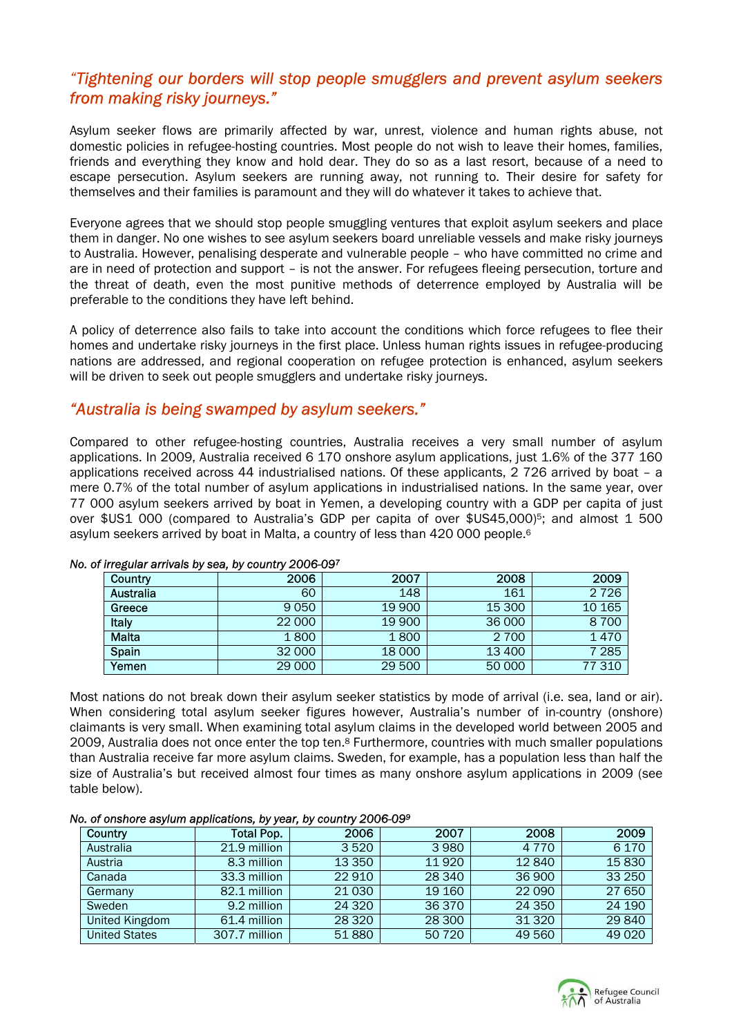# *"Tightening our borders will stop people smugglers and prevent asylum seekers from making risky journeys."*

Asylum seeker flows are primarily affected by war, unrest, violence and human rights abuse, not domestic policies in refugee-hosting countries. Most people do not wish to leave their homes, families, friends and everything they know and hold dear. They do so as a last resort, because of a need to escape persecution. Asylum seekers are running away, not running to. Their desire for safety for themselves and their families is paramount and they will do whatever it takes to achieve that.

Everyone agrees that we should stop people smuggling ventures that exploit asylum seekers and place them in danger. No one wishes to see asylum seekers board unreliable vessels and make risky journeys to Australia. However, penalising desperate and vulnerable people – who have committed no crime and are in need of protection and support – is not the answer. For refugees fleeing persecution, torture and the threat of death, even the most punitive methods of deterrence employed by Australia will be preferable to the conditions they have left behind.

A policy of deterrence also fails to take into account the conditions which force refugees to flee their homes and undertake risky journeys in the first place. Unless human rights issues in refugee-producing nations are addressed, and regional cooperation on refugee protection is enhanced, asylum seekers will be driven to seek out people smugglers and undertake risky journeys.

## *"Australia is being swamped by asylum seekers."*

Compared to other refugee-hosting countries, Australia receives a very small number of asylum applications. In 2009, Australia received 6 170 onshore asylum applications, just 1.6% of the 377 160 applications received across 44 industrialised nations. Of these applicants, 2 726 arrived by boat – a mere 0.7% of the total number of asylum applications in industrialised nations. In the same year, over 77 000 asylum seekers arrived by boat in Yemen, a developing country with a GDP per capita of just over \$US1 000 (compared to Australia's GDP per capita of over \$US45,000)<sup>5</sup>; and almost 1 500 asylum seekers arrived by boat in Malta, a country of less than 420 000 people.<sup>6</sup>

| -            | . .    |        |         |         |
|--------------|--------|--------|---------|---------|
| Country      | 2006   | 2007   | 2008    | 2009    |
| Australia    | 60     | 148    | 161     | 2 7 2 6 |
| Greece       | 9050   | 19 900 | 15 300  | 10 165  |
| Italy        | 22 000 | 19 900 | 36 000  | 8700    |
| <b>Malta</b> | 1800   | 1800   | 2 7 0 0 | 1470    |
| Spain        | 32 000 | 18 000 | 13 400  | 7 2 8 5 |
| Yemen        | 29 000 | 29 500 | 50 000  | 77 310  |

#### *No. of irregular arrivals by sea, by country 2006-097*

Most nations do not break down their asylum seeker statistics by mode of arrival (i.e. sea, land or air). When considering total asylum seeker figures however, Australia's number of in-country (onshore) claimants is very small. When examining total asylum claims in the developed world between 2005 and 2009, Australia does not once enter the top ten.8 Furthermore, countries with much smaller populations than Australia receive far more asylum claims. Sweden, for example, has a population less than half the size of Australia's but received almost four times as many onshore asylum applications in 2009 (see table below).

#### *No. of onshore asylum applications, by year, by country 2006-099*

| Country              | Total Pop.    | 2006     | 2007   | 2008    | 2009    |
|----------------------|---------------|----------|--------|---------|---------|
| Australia            | 21.9 million  | 3520     | 3980   | 4 7 7 0 | 6 1 7 0 |
| Austria              | 8.3 million   | 13 3 5 0 | 11920  | 12840   | 15830   |
| Canada               | 33.3 million  | 22910    | 28 340 | 36 900  | 33 250  |
| Germany              | 82.1 million  | 21 0 30  | 19 160 | 22 090  | 27 650  |
| Sweden               | 9.2 million   | 24 3 20  | 36 370 | 24 3 50 | 24 190  |
| United Kingdom       | 61.4 million  | 28 3 20  | 28 300 | 31 3 20 | 29 840  |
| <b>United States</b> | 307.7 million | 51880    | 50 720 | 49 5 60 | 49 0 20 |

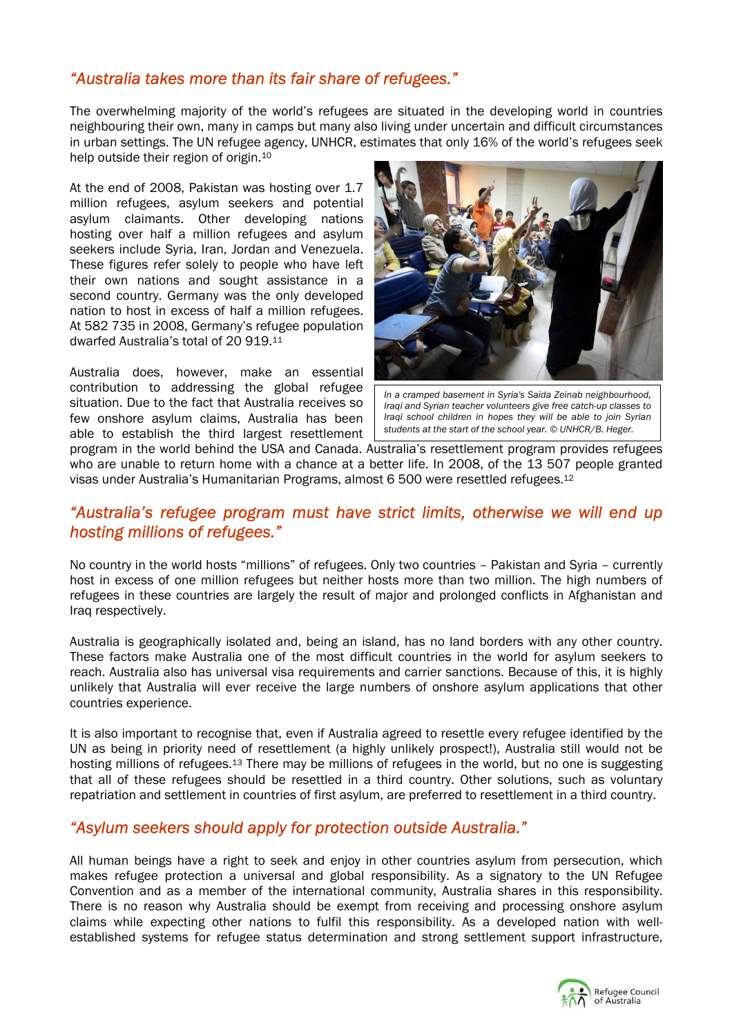# *"Australia takes more than its fair share of refugees."*

The overwhelming majority of the world's refugees are situated in the developing world in countries neighbouring their own, many in camps but many also living under uncertain and difficult circumstances in urban settings. The UN refugee agency, UNHCR, estimates that only 16% of the world's refugees seek help outside their region of origin.10

At the end of 2008, Pakistan was hosting over 1.7 million refugees, asylum seekers and potential asylum claimants. Other developing nations hosting over half a million refugees and asylum seekers include Syria, Iran, Jordan and Venezuela. These figures refer solely to people who have left their own nations and sought assistance in a second country. Germany was the only developed nation to host in excess of half a million refugees. At 582 735 in 2008, Germany's refugee population dwarfed Australia's total of 20 919.11

Australia does, however, make an essential contribution to addressing the global refugee situation. Due to the fact that Australia receives so few onshore asylum claims, Australia has been able to establish the third largest resettlement



*In a cramped basement in Syria's Saida Zeinab neighbourhood, Iraqi and Syrian teacher volunteers give free catch-up classes to Iraqi school children in hopes they will be able to join Syrian students at the start of the school year. © UNHCR/B. Heger.* 

program in the world behind the USA and Canada. Australia's resettlement program provides refugees who are unable to return home with a chance at a better life. In 2008, of the 13 507 people granted visas under Australia's Humanitarian Programs, almost 6 500 were resettled refugees.12

## *"Australia's refugee program must have strict limits, otherwise we will end up hosting millions of refugees."*

No country in the world hosts "millions" of refugees. Only two countries – Pakistan and Syria – currently host in excess of one million refugees but neither hosts more than two million. The high numbers of refugees in these countries are largely the result of major and prolonged conflicts in Afghanistan and Iraq respectively.

Australia is geographically isolated and, being an island, has no land borders with any other country. These factors make Australia one of the most difficult countries in the world for asylum seekers to reach. Australia also has universal visa requirements and carrier sanctions. Because of this, it is highly unlikely that Australia will ever receive the large numbers of onshore asylum applications that other countries experience.

It is also important to recognise that, even if Australia agreed to resettle every refugee identified by the UN as being in priority need of resettlement (a highly unlikely prospect!), Australia still would not be hosting millions of refugees.13 There may be millions of refugees in the world, but no one is suggesting that all of these refugees should be resettled in a third country. Other solutions, such as voluntary repatriation and settlement in countries of first asylum, are preferred to resettlement in a third country.

## *"Asylum seekers should apply for protection outside Australia."*

All human beings have a right to seek and enjoy in other countries asylum from persecution, which makes refugee protection a universal and global responsibility. As a signatory to the UN Refugee Convention and as a member of the international community, Australia shares in this responsibility. There is no reason why Australia should be exempt from receiving and processing onshore asylum claims while expecting other nations to fulfil this responsibility. As a developed nation with wellestablished systems for refugee status determination and strong settlement support infrastructure,

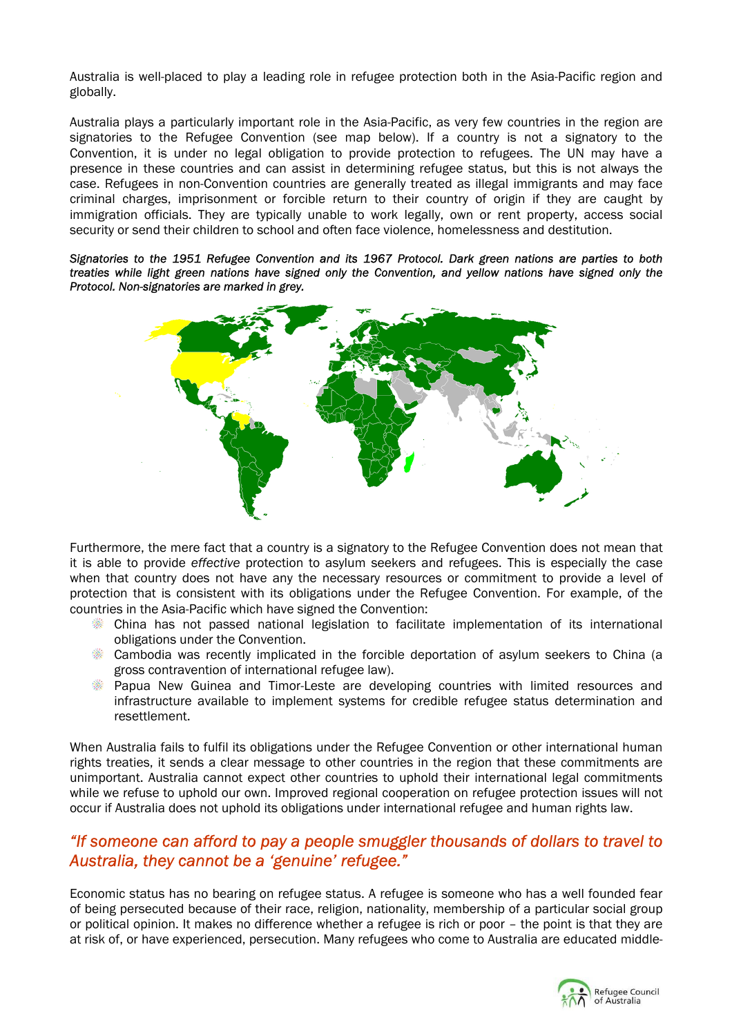Australia is well-placed to play a leading role in refugee protection both in the Asia-Pacific region and globally.

Australia plays a particularly important role in the Asia-Pacific, as very few countries in the region are signatories to the Refugee Convention (see map below). If a country is not a signatory to the Convention, it is under no legal obligation to provide protection to refugees. The UN may have a presence in these countries and can assist in determining refugee status, but this is not always the case. Refugees in non-Convention countries are generally treated as illegal immigrants and may face criminal charges, imprisonment or forcible return to their country of origin if they are caught by immigration officials. They are typically unable to work legally, own or rent property, access social security or send their children to school and often face violence, homelessness and destitution.

*Signatories to the 1951 Refugee Convention and its 1967 Protocol. Dark green nations are parties to both treaties while light green nations have signed only the Convention, and yellow nations have signed only the Protocol. Non-signatories are marked in grey.* 



Furthermore, the mere fact that a country is a signatory to the Refugee Convention does not mean that it is able to provide *effective* protection to asylum seekers and refugees. This is especially the case when that country does not have any the necessary resources or commitment to provide a level of protection that is consistent with its obligations under the Refugee Convention. For example, of the countries in the Asia-Pacific which have signed the Convention:

- China has not passed national legislation to facilitate implementation of its international obligations under the Convention.
- Cambodia was recently implicated in the forcible deportation of asylum seekers to China (a gross contravention of international refugee law).
- Papua New Guinea and Timor-Leste are developing countries with limited resources and infrastructure available to implement systems for credible refugee status determination and resettlement.

When Australia fails to fulfil its obligations under the Refugee Convention or other international human rights treaties, it sends a clear message to other countries in the region that these commitments are unimportant. Australia cannot expect other countries to uphold their international legal commitments while we refuse to uphold our own. Improved regional cooperation on refugee protection issues will not occur if Australia does not uphold its obligations under international refugee and human rights law.

## *"If someone can afford to pay a people smuggler thousands of dollars to travel to Australia, they cannot be a 'genuine' refugee."*

Economic status has no bearing on refugee status. A refugee is someone who has a well founded fear of being persecuted because of their race, religion, nationality, membership of a particular social group or political opinion. It makes no difference whether a refugee is rich or poor – the point is that they are at risk of, or have experienced, persecution. Many refugees who come to Australia are educated middle-

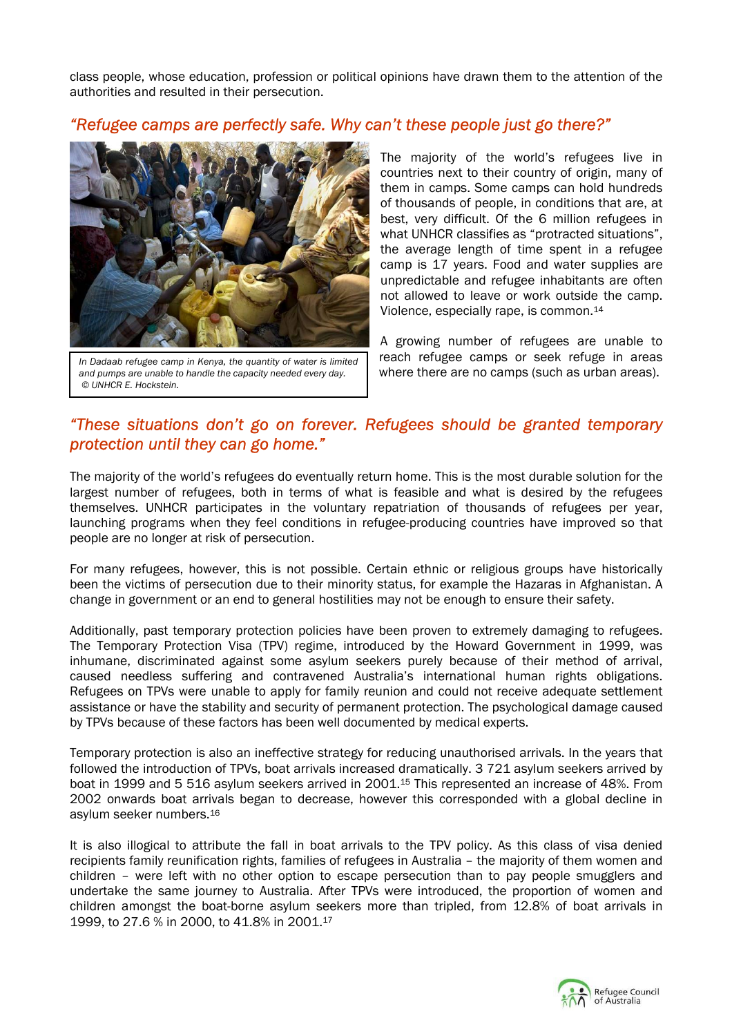class people, whose education, profession or political opinions have drawn them to the attention of the authorities and resulted in their persecution.

## *"Refugee camps are perfectly safe. Why can't these people just go there?"*



*In Dadaab refugee camp in Kenya, the quantity of water is limited and pumps are unable to handle the capacity needed every day. © UNHCR E. Hockstein.* 

The majority of the world's refugees live in countries next to their country of origin, many of them in camps. Some camps can hold hundreds of thousands of people, in conditions that are, at best, very difficult. Of the 6 million refugees in what UNHCR classifies as "protracted situations", the average length of time spent in a refugee camp is 17 years. Food and water supplies are unpredictable and refugee inhabitants are often not allowed to leave or work outside the camp. Violence, especially rape, is common.14

A growing number of refugees are unable to reach refugee camps or seek refuge in areas where there are no camps (such as urban areas).

# *"These situations don't go on forever. Refugees should be granted temporary protection until they can go home."*

The majority of the world's refugees do eventually return home. This is the most durable solution for the largest number of refugees, both in terms of what is feasible and what is desired by the refugees themselves. UNHCR participates in the voluntary repatriation of thousands of refugees per year, launching programs when they feel conditions in refugee-producing countries have improved so that people are no longer at risk of persecution.

For many refugees, however, this is not possible. Certain ethnic or religious groups have historically been the victims of persecution due to their minority status, for example the Hazaras in Afghanistan. A change in government or an end to general hostilities may not be enough to ensure their safety.

Additionally, past temporary protection policies have been proven to extremely damaging to refugees. The Temporary Protection Visa (TPV) regime, introduced by the Howard Government in 1999, was inhumane, discriminated against some asylum seekers purely because of their method of arrival, caused needless suffering and contravened Australia's international human rights obligations. Refugees on TPVs were unable to apply for family reunion and could not receive adequate settlement assistance or have the stability and security of permanent protection. The psychological damage caused by TPVs because of these factors has been well documented by medical experts.

Temporary protection is also an ineffective strategy for reducing unauthorised arrivals. In the years that followed the introduction of TPVs, boat arrivals increased dramatically. 3 721 asylum seekers arrived by boat in 1999 and 5 516 asylum seekers arrived in 2001.15 This represented an increase of 48%. From 2002 onwards boat arrivals began to decrease, however this corresponded with a global decline in asylum seeker numbers.16

It is also illogical to attribute the fall in boat arrivals to the TPV policy. As this class of visa denied recipients family reunification rights, families of refugees in Australia – the majority of them women and children – were left with no other option to escape persecution than to pay people smugglers and undertake the same journey to Australia. After TPVs were introduced, the proportion of women and children amongst the boat-borne asylum seekers more than tripled, from 12.8% of boat arrivals in 1999, to 27.6 % in 2000, to 41.8% in 2001.17

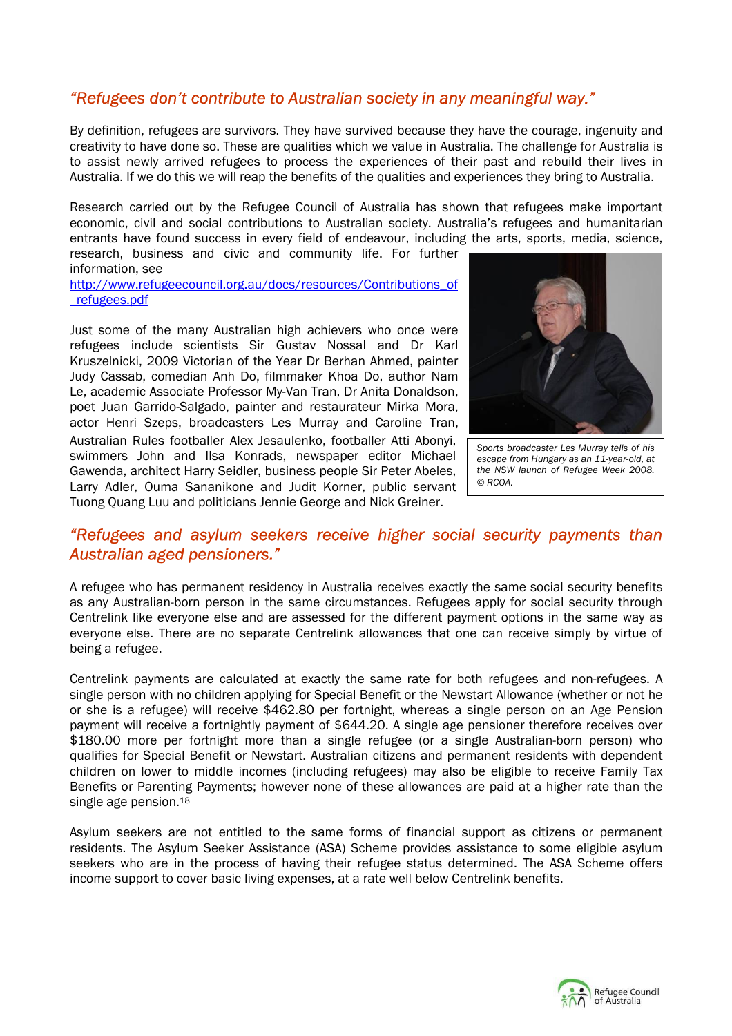# *"Refugees don't contribute to Australian society in any meaningful way."*

By definition, refugees are survivors. They have survived because they have the courage, ingenuity and creativity to have done so. These are qualities which we value in Australia. The challenge for Australia is to assist newly arrived refugees to process the experiences of their past and rebuild their lives in Australia. If we do this we will reap the benefits of the qualities and experiences they bring to Australia.

Research carried out by the Refugee Council of Australia has shown that refugees make important economic, civil and social contributions to Australian society. Australia's refugees and humanitarian entrants have found success in every field of endeavour, including the arts, sports, media, science, research, business and civic and community life. For further

information, see

http://www.refugeecouncil.org.au/docs/resources/Contributions\_of \_refugees.pdf

Just some of the many Australian high achievers who once were refugees include scientists Sir Gustav Nossal and Dr Karl Kruszelnicki, 2009 Victorian of the Year Dr Berhan Ahmed, painter Judy Cassab, comedian Anh Do, filmmaker Khoa Do, author Nam Le, academic Associate Professor My-Van Tran, Dr Anita Donaldson, poet Juan Garrido-Salgado, painter and restaurateur Mirka Mora, actor Henri Szeps, broadcasters Les Murray and Caroline Tran, Australian Rules footballer Alex Jesaulenko, footballer Atti Abonyi, swimmers John and Ilsa Konrads, newspaper editor Michael Gawenda, architect Harry Seidler, business people Sir Peter Abeles, Larry Adler, Ouma Sananikone and Judit Korner, public servant Tuong Quang Luu and politicians Jennie George and Nick Greiner.



*Sports broadcaster Les Murray tells of his escape from Hungary as an 11-year-old, at the NSW launch of Refugee Week 2008. © RCOA.*

## *"Refugees and asylum seekers receive higher social security payments than Australian aged pensioners."*

A refugee who has permanent residency in Australia receives exactly the same social security benefits as any Australian-born person in the same circumstances. Refugees apply for social security through Centrelink like everyone else and are assessed for the different payment options in the same way as everyone else. There are no separate Centrelink allowances that one can receive simply by virtue of being a refugee.

Centrelink payments are calculated at exactly the same rate for both refugees and non-refugees. A single person with no children applying for Special Benefit or the Newstart Allowance (whether or not he or she is a refugee) will receive \$462.80 per fortnight, whereas a single person on an Age Pension payment will receive a fortnightly payment of \$644.20. A single age pensioner therefore receives over \$180.00 more per fortnight more than a single refugee (or a single Australian-born person) who qualifies for Special Benefit or Newstart. Australian citizens and permanent residents with dependent children on lower to middle incomes (including refugees) may also be eligible to receive Family Tax Benefits or Parenting Payments; however none of these allowances are paid at a higher rate than the single age pension.<sup>18</sup>

Asylum seekers are not entitled to the same forms of financial support as citizens or permanent residents. The Asylum Seeker Assistance (ASA) Scheme provides assistance to some eligible asylum seekers who are in the process of having their refugee status determined. The ASA Scheme offers income support to cover basic living expenses, at a rate well below Centrelink benefits.